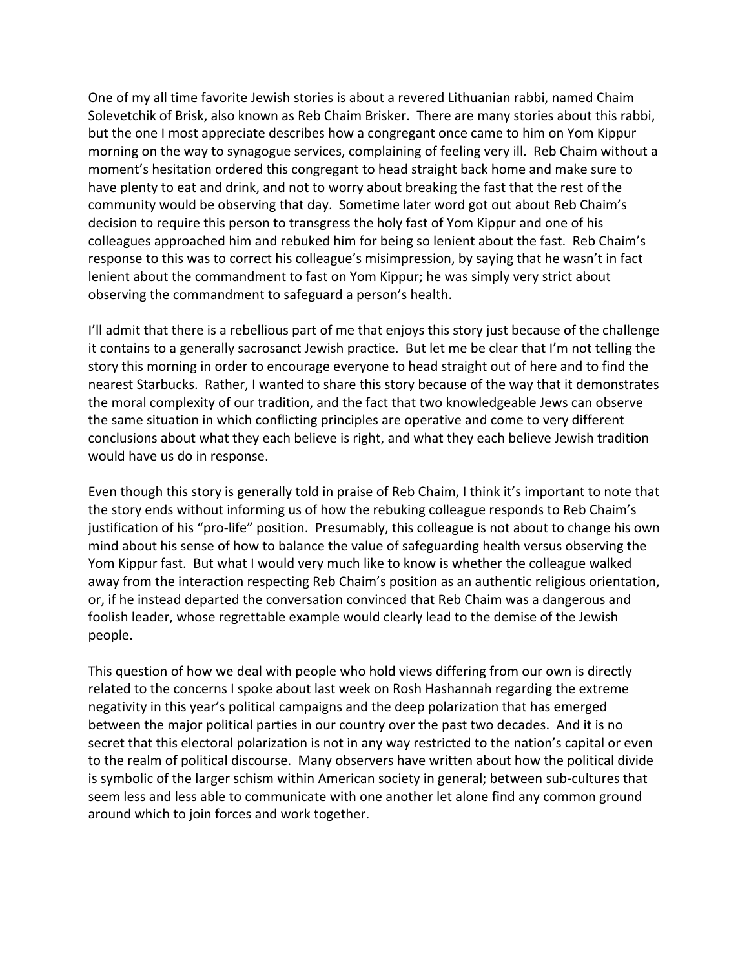One of my all time favorite Jewish stories is about a revered Lithuanian rabbi, named Chaim Solevetchik of Brisk, also known as Reb Chaim Brisker. There are many stories about this rabbi, but
the
one
I
most
appreciate
describes
how
a
congregant
once
came
to
him
on
Yom
Kippur morning on the way to synagogue services, complaining of feeling very ill. Reb Chaim without a moment's
hesitation
ordered
this
congregant
to
head
straight
back
home
and
make
sure
to have plenty to eat and drink, and not to worry about breaking the fast that the rest of the community
would
be
observing
that
day. Sometime
later
word
got
out
about
Reb
Chaim's decision to require this person to transgress the holy fast of Yom Kippur and one of his colleagues
approached
him
and
rebuked
him
for
being
so
lenient
about
the
fast.

Reb
Chaim's response to this was to correct his colleague's misimpression, by saying that he wasn't in fact lenient about the commandment to fast on Yom Kippur; he was simply very strict about observing
the
commandment
to
safeguard
a
person's
health.

I'll admit that there is a rebellious part of me that enjoys this story just because of the challenge it contains to a generally sacrosanct Jewish practice. But let me be clear that I'm not telling the story this morning in order to encourage everyone to head straight out of here and to find the nearest
Starbucks.

Rather,
I
wanted
to
share
this
story
because
of
the
way
that
it
demonstrates the
moral
complexity
of
our
tradition,
and
the
fact
that
two
knowledgeable
Jews
can
observe the
same
situation
in
which
conflicting
principles
are
operative
and
come
to
very
different conclusions about what they each believe is right, and what they each believe Jewish tradition would
have
us
do
in
response.

Even though this story is generally told in praise of Reb Chaim, I think it's important to note that the
story
ends
without
informing
us
of
how
the
rebuking
colleague
responds
to
Reb
Chaim's justification of his "pro-life" position. Presumably, this colleague is not about to change his own mind
about
his
sense
of
how
to
balance
the
value
of
safeguarding
health
versus
observing
the Yom Kippur fast. But what I would very much like to know is whether the colleague walked away
from
the
interaction
respecting
Reb
Chaim's
position
as
an
authentic
religious
orientation, or, if he instead departed the conversation convinced that Reb Chaim was a dangerous and foolish leader, whose regrettable example would clearly lead to the demise of the Jewish people.

This question of how we deal with people who hold views differing from our own is directly related
to
the
concerns
I
spoke
about
last
week
on
Rosh
Hashannah
regarding
the
extreme negativity
in
this
year's
political
campaigns
and
the
deep
polarization
that
has
emerged between the major political parties in our country over the past two decades. And it is no secret that this electoral polarization is not in any way restricted to the nation's capital or even to the realm of political discourse. Many observers have written about how the political divide is symbolic of the larger schism within American society in general; between sub-cultures that seem less and less able to communicate with one another let alone find any common ground around
which
to
join
forces
and
work
together.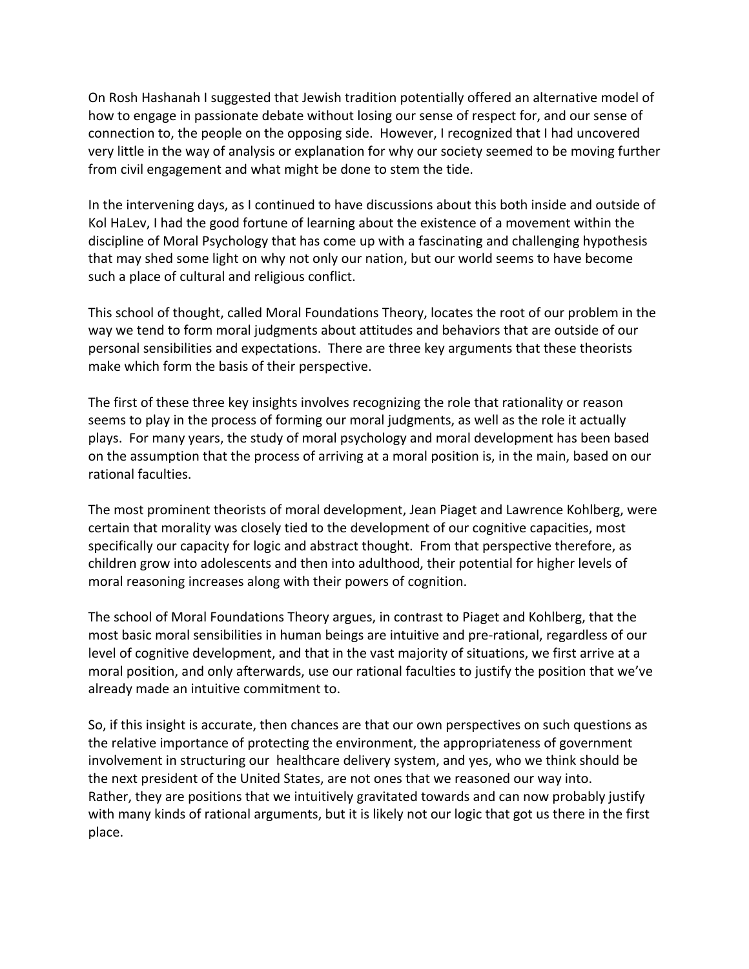On Rosh Hashanah I suggested that Jewish tradition potentially offered an alternative model of how to engage in passionate debate without losing our sense of respect for, and our sense of connection to, the people on the opposing side. However, I recognized that I had uncovered very little in the way of analysis or explanation for why our society seemed to be moving further from
civil
engagement
and
what
might
be
done
to
stem
the
tide.

In the intervening days, as I continued to have discussions about this both inside and outside of Kol HaLev, I had the good fortune of learning about the existence of a movement within the discipline
of
Moral
Psychology
that has
come
up
with
a
fascinating
and
challenging
hypothesis that may shed some light on why not only our nation, but our world seems to have become such
a
place
of
cultural
and
religious
conflict.

This
school
of
thought,
called
Moral
Foundations
Theory,
locates
the
root
of
our
problem
in
the way we tend to form moral judgments about attitudes and behaviors that are outside of our personal
sensibilities
and
expectations.

There
are
three
key
arguments
that
these
theorists make
which
form
the
basis
of
their
perspective.

The first of these three key insights involves recognizing the role that rationality or reason seems to play in the process of forming our moral judgments, as well as the role it actually plays.

For
many
years,
the
study
of
moral
psychology
and
moral
development
has
been
based on the assumption that the process of arriving at a moral position is, in the main, based on our rational
faculties.

The
most
prominent
theorists
of
moral
development,
Jean
Piaget
and
Lawrence
Kohlberg,
were certain
that
morality
was
closely
tied
to
the
development
of
our
cognitive
capacities,
most specifically
our
capacity
for
logic
and
abstract
thought.

From
that
perspective
therefore,
as children
grow
into
adolescents
and
then
into
adulthood,
their
potential
for
higher
levels
of moral
reasoning
increases
along
with
their
powers
of
cognition.

The school of Moral Foundations Theory argues, in contrast to Piaget and Kohlberg, that the most basic moral sensibilities in human beings are intuitive and pre-rational, regardless of our level of cognitive development, and that in the vast majority of situations, we first arrive at a moral
position,
and
only
afterwards,
use
our
rational
faculties
to
justify
the
position
that
we've already
made
an
intuitive
commitment
to.

So, if this insight is accurate, then chances are that our own perspectives on such questions as the
relative
importance
of
protecting
the
environment,
the
appropriateness
of
government involvement in structuring our healthcare delivery system, and yes, who we think should be the
next
president
of
the
United
States,
are
not
ones
that
we
reasoned
our
way
into. Rather, they are positions that we intuitively gravitated towards and can now probably justify with many kinds of rational arguments, but it is likely not our logic that got us there in the first place.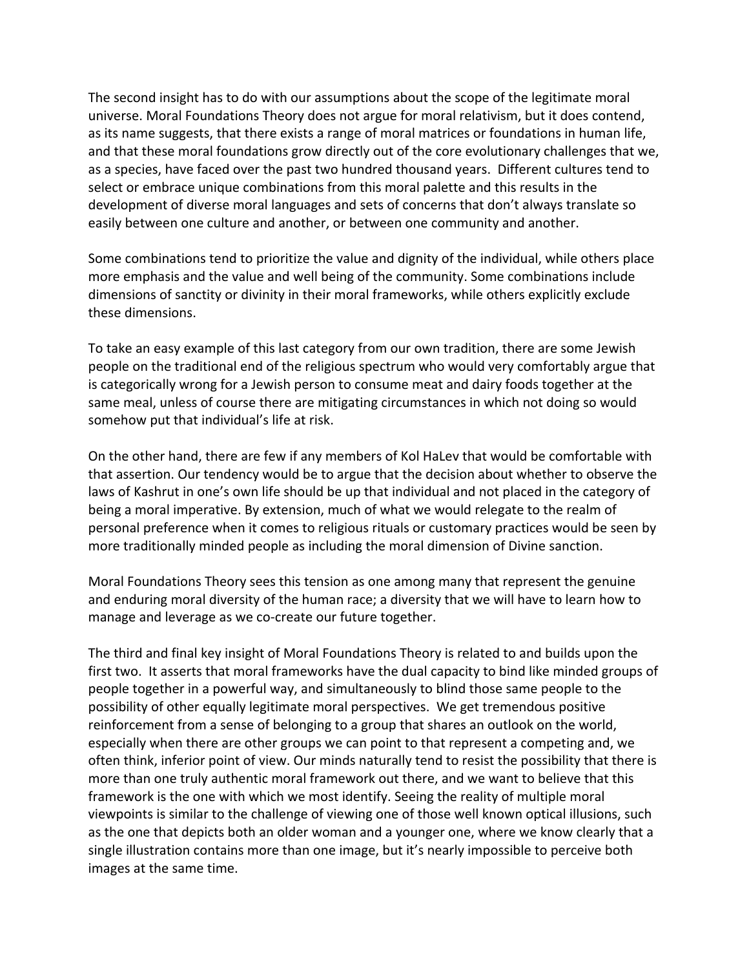The second insight has to do with our assumptions about the scope of the legitimate moral universe.
Moral
Foundations
Theory
does
not
argue
for
moral
relativism,
but
it
does
contend, as its name suggests, that there exists a range of moral matrices or foundations in human life, and that these moral foundations grow directly out of the core evolutionary challenges that we, as
a
species,
have
faced
over
the
past
two
hundred
thousand
years.

Different
cultures
tend
to select or embrace unique combinations from this moral palette and this results in the development
of
diverse
moral
languages
and
sets
of
concerns
that
don't
always
translate
so easily between one culture and another, or between one community and another.

Some combinations tend to prioritize the value and dignity of the individual, while others place more
emphasis
and
the
value
and
well
being
of
the
community.
Some
combinations
include dimensions of sanctity or divinity in their moral frameworks, while others explicitly exclude these
dimensions.

To take an easy example of this last category from our own tradition, there are some Jewish people on the traditional end of the religious spectrum who would very comfortably argue that is
categorically
wrong
for
a
Jewish
person
to
consume
meat
and
dairy
foods
together
at
the same meal, unless of course there are mitigating circumstances in which not doing so would somehow
put
that
individual's
life
at
risk.

On the other hand, there are few if any members of Kol HaLev that would be comfortable with that
assertion.
Our
tendency
would
be
to
argue
that
the
decision
about
whether
to
observe
the laws of Kashrut in one's own life should be up that individual and not placed in the category of being a moral imperative. By extension, much of what we would relegate to the realm of personal
preference
when
it
comes
to
religious
rituals
or
customary
practices
would
be
seen
by more traditionally minded people as including the moral dimension of Divine sanction.

Moral
Foundations
Theory
sees
this
tension
as
one
among
many
that
represent
the
genuine and enduring moral diversity of the human race; a diversity that we will have to learn how to manage
and
leverage
as
we
co‐create
our
future
together.

The third and final key insight of Moral Foundations Theory is related to and builds upon the first two. It asserts that moral frameworks have the dual capacity to bind like minded groups of people
together
in
a
powerful
way,
and
simultaneously
to
blind
those
same
people
to
the possibility of other equally legitimate moral perspectives. We get tremendous positive reinforcement
from
a
sense
of
belonging
to
a
group
that
shares
an
outlook
on
the
world, especially when there are other groups we can point to that represent a competing and, we often
think,
inferior
point
of
view.
Our
minds
naturally
tend
to
resist
the
possibility
that
there
is more than one truly authentic moral framework out there, and we want to believe that this framework is the one with which we most identify. Seeing the reality of multiple moral viewpoints is similar to the challenge of viewing one of those well known optical illusions, such as the one that depicts both an older woman and a younger one, where we know clearly that a single illustration contains more than one image, but it's nearly impossible to perceive both images
at
the
same
time.